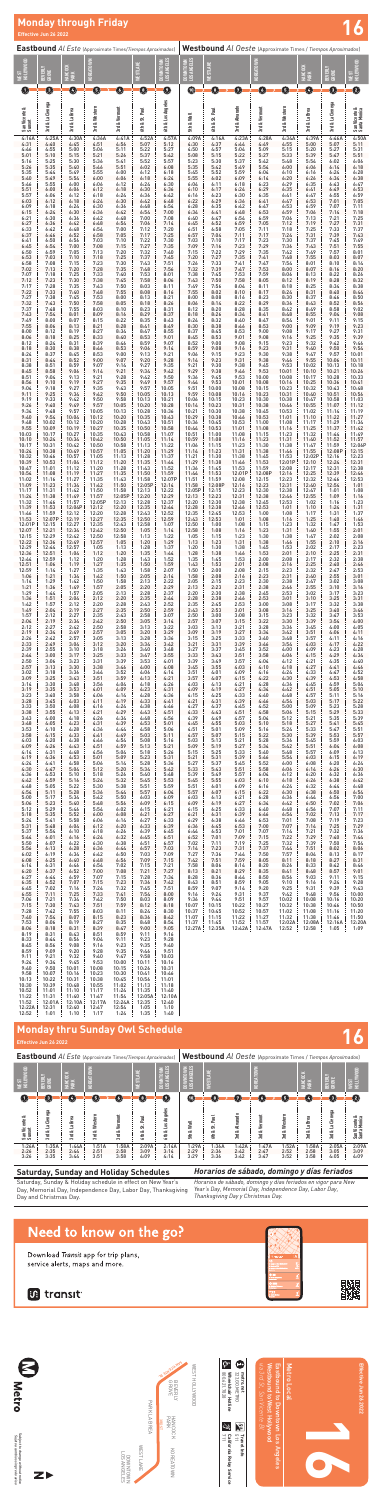**16**



PARK LA BREA PARK LA BREA

WEST HOLLYWOOD WEST HOLLYWOOD

Metro Local





HANCOCK KOREATOWN<br>PARK KOREATOWN



D. Signed

 $\begin{tabular}{ll} \pmb{1} & metonet \\ & 323.60. \text{METRO} \\ & 323.60. \text{METRO} \\ & \text{Wneelchair Hettine} \\ & 500.621.7928 \\ \hline \end{tabular}$ 800.621.7828 **Wheelchair Hotline**



Subject to change without notice<br>*Sujeto a cambios sin previo aviso* Subject to change without notice *Sujeto a cambios sin previo aviso*





3RD ST

BHANCOCK BEVERLY HANGOCK<br>GROVE BEVERLY **SAN AREAM AND** 

323.GO.METRO

**metro.net**

**California Relay Service**

**511**<br>511<br>511

 $\frac{1}{2}$  California Relay Service

**Travel Info**

#### **Saturday, Sunday and Holiday Schedules**

Saturday, Sunday & Holiday schedule in effect on New Year's Day, Memorial Day, Independence Day, Labor Day, Thanksgiving Day and Christmas Day.

#### *Horarios de sábado, domingo y días feriados*

*Horarios de sábado, domingo y días feriados en vigor para New Year's Day, Memorial Day, Independence Day, Labor Day, Thanksgiving Day y Christmas Day.*

## Need to know on the go?

Download Transit app for trip plans, service alerts, maps and more.

### **in** transit



| <b>Eastbound</b> Al Este (Approximate Times/Tiempos Aproximados) |                         |                         |                       |                       |                           |                                          |                                        | Westbound Al Oeste (Approximate Times / Tiempos Aproximados) |                       |                       |                       |                              |                       |                                  |  |
|------------------------------------------------------------------|-------------------------|-------------------------|-----------------------|-----------------------|---------------------------|------------------------------------------|----------------------------------------|--------------------------------------------------------------|-----------------------|-----------------------|-----------------------|------------------------------|-----------------------|----------------------------------|--|
| WEST<br><u>Ho</u> llywood                                        | BEVERLY<br>GROVE        | ¥<br>⊨<br>HANCI<br>PARK | KOREATOWN             |                       | AKE<br>WESTL/             | <b>ANTOWN</b><br>ANGELES<br>ត្ត<br>ខ្ញុំ | <b>NITOWN</b><br>ANGELES<br>now<br>⊔ag | WESTLAKE                                                     |                       | š<br>KOREATO          |                       | ě<br><b>HANC</b>             | BEVERLY<br>GROVE      | N <sub>00</sub><br>NEST<br>HOLLM |  |
| O                                                                | $\sqrt{3}$              | $\bf(4)$                | 5                     | <b>46F</b>            | O)                        | $\bf o$                                  | $\blacksquare$                         | 【8】                                                          | 7                     | $\left( 6\right)$     | $\sqrt{5}$            | Ø                            | $\left( 3\right)$     | $\mathbf{C}$                     |  |
| San Vicente &<br>Sunset                                          | Cienega<br>e,<br>ಷ<br>모 | La Brea<br>ಷ<br>모       | & Western<br>혾        | 3rd & Vermont         | <b>Paul</b><br>ಕ<br>6th & | Angeles<br>۱۵s<br>6th &                  | Wall<br>ಷ<br>É                         | Paul<br>ಜ<br>ಷ<br>₫,                                         | 3rd & Alvarado        | Vermont<br>ಂಶ<br>모    | 3rd & Western         | La Brea<br>ಎಕ<br><u>ក្នុ</u> | 3rd & La Cienega      | San Vicente &<br>Santa Monica    |  |
| 1:26A<br>2:26<br>3:26                                            | 1:35A<br>2:35<br>3:35   | 1:44A<br>2:44<br>3:44   | 1:51A<br>2:51<br>3:51 | 1:58A<br>2:58<br>3:58 | 2:09A<br>3:09<br>4:09     | 2:14A<br>3:14<br>4:14                    | 1:29A<br>2:29<br>3:29                  | 1:36A<br>2:36<br>3:36                                        | 1:42A<br>2:42<br>3:42 | 1:47A<br>2:47<br>3:47 | 1:52A<br>2:52<br>3:52 | 1:58A<br>2:58<br>3:58        | 2:05A<br>3:05<br>4:05 | 2:09A<br>3:09<br>4:09            |  |

**Effective Jun 26 2022**

# **Monday thru Sunday Owl Schedule 16**

# **Effective Jun 26 2022**<br> **Effective Jun 26 2022**<br> **Effective Jun 26 2022**

|                           |                          |                          | <b>Eastbound</b> Al Este (Approximate Times/Tiempos Aproximados) |                          |                         |                          |                         |                         |                         | Westbound Al Oeste (Approximate Times / Tiempos Aproximados) |                         |                         |                            |                               |
|---------------------------|--------------------------|--------------------------|------------------------------------------------------------------|--------------------------|-------------------------|--------------------------|-------------------------|-------------------------|-------------------------|--------------------------------------------------------------|-------------------------|-------------------------|----------------------------|-------------------------------|
| HOLLYWOOD                 | BEVERLY<br>GROVE         | HANCOCK<br>PARK          | KOREATOWN                                                        |                          | <b>WESTLAKE</b>         | ANGELES<br>VTOWN         | DOWNTOWN<br>LOS ANGELES | <b>NESTLAKE</b>         |                         | KOREATOWN                                                    |                         | HANCOCK<br>PARK         | BEVERLY<br>GROVE           | HOLLYWOOD                     |
| <b>US3</b><br>$\mathbf 0$ | 0                        | $\boldsymbol{\Theta}$    | ❺                                                                | O                        | $\bullet$               | $\geq$<br>筥<br>$\bullet$ | $\bf \Phi$              | ❶                       | 0                       | ◑                                                            | ❺                       | Ø                       | ◉                          | <b>NEST</b><br>❹              |
|                           |                          |                          |                                                                  |                          |                         |                          |                         |                         |                         |                                                              |                         |                         |                            |                               |
| San Vicente &<br>Sunset   | 3rd & La Cienega         |                          | 3rd & Western                                                    | 3rd & Vermont            |                         | 6th & Los Angeles        |                         |                         | 3rd & Alvarado          | 3rd & Vermont                                                | 3rd & Western           |                         | 3rd & La Cienega           |                               |
|                           |                          | 3rd & La Brea            |                                                                  |                          | 6th & St. Paul          |                          | 5th & Wall              | 6th & St. Paul          |                         |                                                              |                         | 3rd & La Brea           |                            | San Vicente &<br>Santa Monica |
| 4:16A                     | 4:25A                    | 4:30A                    | 4:36A                                                            | 4:41A                    | 4:52A                   | 4:57A                    | 4:09A                   | 4:16A                   | 4:23A                   | 4:28A                                                        | 4:34A                   | 4:39A                   | 4:46A                      | 4:50A                         |
| 4:31                      | 4:40                     | 4:45                     | 4:51                                                             | 4:56                     | 5:07                    | 5:12                     | 4:30                    | 4:37                    | 4:44                    | 4:49                                                         | 4:55                    | 5:00                    | 5:07                       | $5:11$<br>$5:31$              |
| 4:46                      | 4:55                     | 5:00                     | 5:06                                                             | 5:11                     | 5:22                    | 5:27                     | 4:50                    | 4:57                    | 5:04                    | 5:09                                                         | 5:15                    | 5:20                    | 5:27                       | 5:51                          |
| 5:01                      | 5:10                     | 5:15                     | 5:21                                                             | 5:26                     | 5:37                    | 5:42                     | 5:08                    | 5:15                    | 5:22                    | 5:27                                                         | 5:33                    | 5:39                    | 5:47                       |                               |
| 5:16                      | 5:25                     | 5:30                     | 5:36                                                             | 5:41                     | 5:52                    | 5:57                     | 5:23                    | 5:30                    | 5:37                    | 5:42                                                         | 5:48                    | 5:54                    | 6:02                       | 6:06                          |
| 5:26                      | 5:35                     | 5:40                     | 5:46                                                             | 5:51                     | 6:02                    | 6:08                     | 5:35                    | 5:42                    | 5:49                    | 5:54                                                         | 6:00                    | 6:06                    | 6:14                       | 6:18                          |
| 5:35                      | 5:44                     | 5:49                     | 5:55                                                             | 6:00                     | 6:12                    | 6:18                     | 5:45                    | 5:52                    | 5:59                    | 6:04                                                         | 6:10                    | 6:16                    | 6:24                       | 6:28                          |
| 5:40                      | 5:49                     | 5:54                     | 6:00                                                             | 6:06                     | 6:18                    | 6:24                     | 5:55                    | 6:02                    | 6:09                    | 6:14                                                         | 6:20                    | 6:26                    | 6:34                       | $6:38$<br>$6:47$              |
| 5:46                      | 5:55                     | 6:00                     | 6:06                                                             | 6:12                     | 6:24                    | 6:30                     | 6:04                    | 6:11                    | 6:18                    | 6:23                                                         | 6:29                    | 6:35                    | 6:43                       |                               |
| 5:51<br>5:57<br>6:03      | 6:00<br>6:06<br>6:12     | 6:06<br>6:12<br>6:18     | 6:12<br>6:18<br>6:24                                             | 6:18<br>6:24<br>6:30     | 6:30<br>6:36<br>6:42    | 6:36<br>6:42<br>6:48     | 6:10<br>6:16<br>6:22    | 6:17<br>6:23<br>6:29    | 6:24<br>6:30<br>6:36    | 6:29<br>6:35<br>6:41                                         | 6:35<br>6:41<br>6:47    | 6:41<br>6:47<br>6:53    | 6:49<br>6:55<br>7:01       | 6:53<br>$6:59$<br>$7:05$      |
| 6:09                      | 6:18                     | 6:24                     | 6:30                                                             | 6:36                     | 6:48                    | 6:54                     | 6:28                    | 6:35                    | 6:42                    | 6:47                                                         | 6:53                    | 6:59                    | 7:07                       | 7:11                          |
| 6:15                      | 6:24                     | 6:30                     | 6:36                                                             | 6:42                     | 6:54                    | 7:00                     | 6:34                    | 6:41                    | 6:48                    | 6:53                                                         | 6:59                    | 7:06                    | 7:14                       | $7:18$<br>$7:25$              |
| 6:21<br>6:27<br>6:33      | 6:30<br>6:36<br>6:42     | 6:36<br>6:42<br>6:48     | 6:42<br>6:48<br>6:54                                             | 6:48<br>6:54<br>7:00     | 7:00<br>7:06<br>7:12    | 7:08<br>7:14<br>7:20     | 6:40<br>6:45<br>6:51    | 6:47<br>6:52<br>6:58    | 6:54<br>6:59<br>7:05    | 6:59<br>7:05<br>7:11                                         | 7:06<br>7:12<br>7:18    | 7:13<br>7:19<br>7:25    | 7:21<br>7:27               | 7:31                          |
| 6:37                      | 6:46                     | 6:52                     | 6:58                                                             | 7:05                     | 7:17                    | 7:25                     | 6:57                    | 7:04                    | 7:11                    | 7:17                                                         | 7:24                    | 7:31                    | $7:33$<br>$7:39$<br>$7:45$ | $7:37$<br>$7:43$              |
| 6:41                      | 6:50                     | 6:56                     | 7:03                                                             | 7:10                     | 7:22                    | 7:30                     | 7:03                    | 7:10                    | 7:17                    | 7:23                                                         | 7:30                    | 7:37                    |                            | $7:49$<br>$7:55$              |
| 6:45<br>6:50              | 6:54<br>6:59<br>7:03     | 7:00<br>7:05<br>7:10     | 7:08<br>7:13<br>7:18                                             | 7:15<br>7:20<br>7:25     | 7:27<br>7:32<br>7:37    | 7:35<br>7:40<br>7:45     | 7:09<br>7:15<br>7:20    | 7:16<br>7:22<br>7:27    | 7:23<br>7:29<br>7:35    | 7:29<br>7:35<br>7:41                                         | 7:36<br>7:42<br>7:48    | 7:43<br>7:49<br>7:55    | 7:51<br>7:57<br>8:03       | 8:01<br>8:07                  |
| 6:53<br>6:58<br>7:02      | 7:08<br>7:13             | 7:15<br>7:20             | 7:23<br>7:28                                                     | 7:30<br>7:35             | 7:43<br>7:48            | 7:51<br>7:56             | 7:26<br>7:32            | 7:33<br>7:39            | 7:41<br>7:47            | 7:47<br>7:53                                                 | 7:54<br>8:00            | 8:01<br>8:07            | 8:10<br>8:16               | $8:14$<br>$8:20$              |
| 7:07                      | 7:18                     | 7:25                     | 7:33                                                             | 7:40                     | 7:53                    | 8:01                     | 7:38                    | 7:45                    | 7:53                    | 7:59                                                         | 8:06                    | 8:13                    | 8:22                       | 8:26                          |
| 7:12                      | 7:23                     | 7:30                     | 7:38                                                             | 7:45                     | 7:58                    | 8:06                     | 7:43                    | 7:50                    | 7:58                    | 8:05                                                         | 8:12                    | 8:19                    | 8:28                       | 8:32                          |
| 7:17                      | 7:28                     | 7:35                     | 7:43                                                             | 7:50                     | 8:03                    | 8:11                     | 7:49                    | 7:56                    | 8:04                    | 8:11                                                         | 8:18                    | 8:25                    | 8:34                       | 8:38                          |
| 7:22                      | 7:33                     | 7:40                     | 7:48                                                             | 7:55                     | 8:08                    | 8:16                     | 7:55                    | 8:02                    | 8:10                    | 8:17                                                         | 8:24                    | 8:31                    | 8:40                       | 8:44                          |
| 7:27                      | 7:38                     | 7:45                     | 7:53                                                             | 8:00                     | 8:13                    | 8:21                     | 8:00                    | 8:08                    | 8:16                    | 8:23                                                         | 8:30                    | 8:37                    | 8:46                       | 8:50                          |
| 7:32                      | 7:43                     | 7:50                     | 7:58                                                             | 8:05                     | 8:18                    | 8:26                     | 8:06                    | 8:14                    | 8:22                    | 8:29                                                         | 8:36                    | 8:43                    | 8:52                       | 8:56                          |
| 7:37                      | 7:48                     | 7:55                     | 8:03                                                             | 8:10                     | 8:23                    | 8:31                     | 8:12                    | 8:20                    | 8:28                    | 8:35                                                         | 8:42                    | 8:49                    | 8:58                       | 9:02                          |
| 7:43                      | 7:54                     | 8:01                     | 8:09                                                             | 8:16                     | 8:29                    | 8:37                     | 8:18                    | 8:26                    | 8:34                    | 8:41                                                         | 8:48                    | 8:55                    | 9:04                       | 9:08                          |
| 7:49                      | 8:00                     | 8:07                     | 8:15                                                             | 8:22                     | 8:35                    | 8:43                     | 8:24                    | 8:32                    | 8:40                    | 8:47                                                         | 8:54                    | 9:01                    | 9:11                       | 9:15                          |
| 7:55                      | 8:06                     | 8:13                     | 8:21                                                             | 8:28                     | 8:41                    | 8:49                     | 8:30                    | 8:38                    | 8:46                    | 8:53                                                         | 9:00                    | 9:09                    | 9:19                       | 9:23                          |
| 8:00                      | 8:12                     | 8:19                     | 8:27                                                             | 8:34                     | 8:47                    | 8:55                     | 8:37                    | 8:45                    | 8:53                    | 9:00                                                         | 9:08                    | 9:17                    | 9:27                       | 9:31                          |
| 8:06                      | 8:18                     | 8:25                     | 8:33                                                             | 8:40                     | 8:53                    | 9:01                     | 8:45                    | 8:53                    | 9:01                    | 9:08                                                         | 9:16                    | 9:25                    | 9:35                       | 9:39                          |
| 8:12<br>8:18<br>8:24      | 8:24<br>8:30<br>8:37     | 8:31<br>8:38<br>8:45     | 8:39<br>8:46<br>8:53                                             | 8:46<br>8:53<br>9:00     | 8:59<br>9:06<br>9:13    | 9:07<br>9:14<br>9:21     | 8:52<br>8:59            | 9:00<br>9:08<br>9:15    | 9:08<br>9:16<br>9:23    | 9:15<br>9:23<br>9:30                                         | 9:23<br>9:31<br>9:38    | 9:32<br>9:40<br>9:47    | 9:42<br>9:50<br>9:57       | 9:46<br>9:54<br>10:01         |
| 8:31<br>8:38              | 8:44<br>8:51             | 8:52<br>8:59             | 9:00<br>9:07                                                     | 9:07<br>9:14             | 9:20<br>9:27            | 9:28<br>9:35             | 9:06<br>9:14<br>9:21    | 9:23<br>9:30            | 9:31<br>9:38            | 9:38<br>9:45                                                 | 9:46<br>9:53            | 9:55<br>10:02           | 10:06<br>10:13             | 10:11<br>10:18                |
| 8:45                      | 8:58                     | 9:06                     | 9:14                                                             | 9:21                     | 9:34                    | 9:42                     | 9:29                    | 9:38                    | 9:46                    | 9:53                                                         | 10:01                   | 10:10                   | 10:21                      | 10:26                         |
| 8:51                      | 9:04                     | 9:13                     | 9:21                                                             | 9:28                     | 9:42                    | 9:50                     | 9:36                    | 9:45                    | 9:53                    | 10:00                                                        | 10:08                   | 10:17                   | 10:28                      | 10:33                         |
| 8:56                      | 9:10                     | 9:19                     | 9:27                                                             | 9:35                     | 9:49                    | 9:57                     | 9:44                    | 9:53                    | 10:01                   | 10:08                                                        | 10:16                   | 10:25                   | 10:36                      | 10:41                         |
| 9:04                      | 9:18                     | 9:27                     | 9:35                                                             | 9:43                     | 9:57                    | 10:05                    | 9:51                    | 10:00                   | 10:08                   | 10:15                                                        | 10:23                   | 10:32                   | 10:43                      | 10:48                         |
| 9:11                      | 9:25                     | 9:34                     | 9:42                                                             | 9:50                     | 10:05                   | 10:13                    | 9:59                    | 10:08                   | 10:16                   | 10:23                                                        | 10:31                   | 10:40                   | 10:51                      | 10:56                         |
| 9:19                      | 9:33                     | 9:42                     | 9:50                                                             | 9:58                     | 10:13                   | 10:21                    | 10:06                   | 10:15                   | 10:23                   | 10:30                                                        | 10:38                   | 10:47                   | 10:58                      | 11:03                         |
| 9:26                      | 9:40                     | 9:49                     | 9:57                                                             | 10:05                    | 10:20                   | 10:28                    | 10:14                   | 10:23                   | 10:31                   | 10:38                                                        | 10:46                   | 10:55                   | 11:07                      | 11:12                         |
| 9:34                      | 9:48                     | 9:57                     | 10:05                                                            | 10:13                    | 10:28                   | 10:36                    | 10:21                   | 10:30                   | 10:38                   | 10:45                                                        | 10:53                   | 11:02                   | 11:14                      | 11:19                         |
| 9:40                      | 9:54                     | 10:04                    | 10:12                                                            | 10:20                    | 10:35                   | 10:43                    | 10:29                   | 10:38                   | 10:46                   | 10:53                                                        | 11:01                   | 11:10                   | 11:22                      | 11:27                         |
| 9:48                      | 10:02                    | 10:12                    | 10:20                                                            | 10:28                    | 10:43                   | 10:51                    | 10:36                   | 10:45                   | 10:53                   | 11:00                                                        | 11:08                   | 11:17                   | 11:29                      | 11:34                         |
| 9:55                      | 10:09                    | 10:19                    | 10:27                                                            | 10:35                    | 10:50                   | 10:58                    | 10:44                   | 10:53                   | 11:01                   | 11:08                                                        | 11:16                   | 11:25                   | 11:37                      | 11:42                         |
| 10:03                     | 10:17                    | 10:27                    | 10:35                                                            | 10:43                    | 10:58                   | 11:07                    | 10:51                   | 11:00                   | 11:08                   | 11:15                                                        | 11:23                   | 11:32                   | 11:44                      | 11:49                         |
| 10:10<br>10:17<br>10:24   | 10:24<br>10:31<br>10:38  | 10:34<br>10:42<br>10:49  | 10:42<br>10:50<br>10:57                                          | 10:50<br>10:58           | 11:05<br>11:13<br>11:20 | 11:14<br>11:22<br>11:29  | 10:59<br>11:06<br>11:14 | 11:08<br>11:15<br>11:23 | 11:16<br>11:23<br>11:31 | 11:23<br>11:30<br>11:38                                      | 11:31<br>11:38<br>11:46 | 11:40<br>11:47<br>11:55 | 11:52<br>11:59<br>12:08P   | 11:57<br>12:06P<br>12:15      |
| 10:32<br>10:39            | 10:46<br>10:53           | 10:57<br>11:04           | 11:05<br>11:12                                                   | 11:05<br>11:13<br>11:20  | 11:28<br>11:35          | 11:37<br>11:44           | 11:21<br>11:29          | 11:30<br>11:38          | 11:38<br>11:46          | 11:45<br>11:53                                               | 11:53<br>12:01P         | 12:02P<br>12:10         | 12:16<br>12:24             | 12:23<br>12:31                |
| 10:47                     | 11:01                    | 11:12                    | 11:20                                                            | 11:28                    | 11:43                   | 11:52                    | 11:36                   | 11:45                   | 11:53                   | 11:59                                                        | 12:08                   | 12:17                   | 12:31                      | 12:38                         |
| 10:54                     | 11:08                    | 11:19                    | 11:27                                                            | 11:35                    | 11:50                   | 11:59                    | 11:44                   | 11:53                   | 12:01P                  | 12:08P                                                       | 12:16                   | 12:25                   | 12:39                      | 12:46                         |
| 11:02                     | 11:16                    | 11:27                    | 11:35                                                            | 11:43                    | 11:58                   | 12:07P                   | 11:51                   | 11:59                   | 12:08                   | 12:15                                                        | 12:23                   | 12:32                   | 12:46                      | 12:53                         |
| 11:09                     | 11:23                    | 11:34                    | 11:42                                                            | 11:50                    | 12:05P                  | 12:14                    | 11:58                   | 12:08P                  | 12:16                   | 12:23                                                        | 12:31                   | 12:40                   | 12:54                      | 1:01                          |
| 11:17                     | 11:31                    | 11:42                    | 11:50                                                            | 11:58                    | 12:13                   | 12:22                    | 12:05P                  | 12:15                   | 12:23                   | 12:30                                                        | 12:38                   | 12:47                   | 1:01                       | 1:08                          |
| 11:24                     | 11:38                    | 11:49                    | 11:57                                                            | 12:05P                   | 12:20                   | 12:29                    | 12:13                   | 12:23                   | 12:31                   | 12:38                                                        | 12:46                   | 12:55                   | 1:09                       | 1:16                          |
| 11:32                     | 11:46                    | 11:57                    | 12:05P                                                           | 12:13                    | 12:28                   | 12:37                    | 12:20                   | 12:30                   | 12:38                   | 12:45                                                        | 12:53                   | 1:02                    | 1:16                       | 1:23                          |
| 11:39                     | 11:53                    | 12:04P                   | 12:12                                                            | 12:20                    | 12:35                   | 12:44                    | 12:28                   | 12:38                   | 12:46                   | 12:53                                                        | 1:01                    | 1:10                    | 1:24                       | 1:31                          |
| 11:46                     | 11:59                    | 12:12                    | 12:20                                                            | 12:28                    | 12:43                   | 12:52                    | 12:35                   | 12:45                   | 12:53                   | 1:00                                                         | 1:08                    | 1:17                    | 1:31                       | 1:37                          |
| 11:53                     | 12:07P                   | 12:19                    | 12:27                                                            | 12:35                    | 12:50                   | 12:59                    | 12:43                   | 12:53                   | 1:01                    | 1:08                                                         | 1:16                    | 1:25                    | 1:40                       | 1:46                          |
| 12:01P                    | 12:15                    | 12:27                    | 12:35                                                            | 12:43                    | 12:58                   | 1:07                     | 12:50                   | 1:00                    | 1:08                    | 1:15                                                         | 1:23                    | 1:32                    | 1:47                       | 1:53                          |
| 12:07                     | 12:21                    | 12:34                    | 12:42                                                            | 12:50                    | 1:05                    | 1:14                     | 12:58                   | 1:08                    | 1:16                    | 1:23                                                         | 1:31                    | 1:40                    | 1:55                       | 2:01                          |
| 12:15                     | 12:29                    | 12:42                    | 12:50                                                            | 12:58                    | 1:13                    | 1:22                     | 1:05                    | 1:15                    | 1:23                    | 1:30                                                         | 1:38                    | 1:47                    | 2:02                       | 2:08                          |
| 12:22                     | 12:36                    | 12:49                    | 12:57                                                            | 1:05                     | 1:20                    | 1:29                     | 1:13                    | 1:23                    | 1:31                    | 1:38                                                         | 1:46                    | 1:55                    | 2:10                       | 2:16                          |
| 12:29                     | 12:44                    | 12:57                    | 1:05                                                             | 1:13                     | 1:28                    | 1:37                     | 1:20                    | 1:30                    | 1:38                    | 1:45                                                         | 1:53                    | 2:02                    | 2:17                       | 2:23                          |
| 12:36                     | 12:51                    | 1:04                     | 1:12                                                             | 1:20                     | 1:35                    | 1:44                     | 1:28                    | 1:38                    | 1:46                    | 1:53                                                         | 2:01                    | 2:10                    | 2:25                       | 2:31                          |
| 12:44                     | 12:59                    | 1:12                     | 1:20                                                             | 1:28                     | 1:43                    | 1:52                     | 1:35                    | 1:45                    | 1:53                    | 2:00                                                         | 2:08                    | 2:17                    | 2:32                       | 2:38                          |
| 12:51<br>12:59<br>1:06    | 1:06<br>1:14             | 1:19<br>1:27<br>1:34     | 1:27<br>1:35<br>1:42                                             | 1:35<br>1:43<br>1:50     | 1:50<br>1:58<br>2:05    | 1:59<br>2:07<br>2:14     | 1:43<br>1:50<br>1:58    | 1:53<br>2:00<br>2:08    | 2:01<br>2:08<br>2:16    | 2:08<br>2:15<br>2:23                                         | 2:16<br>2:23<br>2:31    | 2:25<br>2:32<br>2:40    | 2:40<br>2:47<br>2:55       | 2:46<br>2:53<br>3:01          |
| 1:14<br>1:21              | 1:21<br>1:29<br>1:36     | 1:42<br>1:49             | 1:50<br>1:57                                                     | 1:58<br>2:05             | 2:13<br>2:20            | 2:22<br>2:29             | 2:05<br>2:13            | 2:15<br>2:23            | 2:23<br>2:31            | 2:30<br>2:38                                                 | 2:38<br>2:46            | 2:47<br>2:55            | 3:02<br>3:10               | 3:08<br>3:16                  |
| 1:29                      | 1:44                     | 1:57                     | 2:05                                                             | 2:13                     | 2:28                    | 2:37                     | 2:20                    | 2:30                    | 2:38                    | 2:45                                                         | 2:53                    | 3:02                    | 3:17                       | 3:23                          |
| 1:36                      | 1:51                     | 2:04                     | 2:12                                                             | 2:20                     | 2:35                    | 2:44                     | 2:28                    | 2:38                    | 2:46                    | 2:53                                                         | 3:01                    | 3:10                    | 3:25                       | 3:31                          |
| 1:42                      | 1:57                     | 2:12                     | 2:20                                                             | 2:28                     | 2:43                    | 2:52                     | 2:35                    | 2:45                    | 2:53                    | 3:00                                                         | 3:08                    | 3:17                    | 3:32                       | 3:38                          |
| 1:49                      | 2:04                     | 2:19                     | 2:27                                                             | 2:35                     | 2:50                    | 2:59                     | 2:43                    | 2:53                    | 3:01                    | 3:08                                                         | 3:16                    | 3:25                    | 3:40                       | 3:46                          |
| 1:57                      | 2:12                     | 2:27                     | 2:35                                                             | 2:43                     | 2:58                    | 3:07                     | 2:50                    | 3:00                    | 3:08                    | 3:15                                                         | 3:23                    | 3:32                    | 3:47                       | 3:53                          |
| 2:04                      | 2:19                     | 2:34                     | 2:42                                                             | 2:50                     | 3:05                    | 3:14                     | 2:57                    | 3:07                    | 3:15                    | 3:22                                                         | 3:30                    | 3:39                    | 3:54                       | 4:00                          |
| 2:12                      | 2:27                     | 2:42                     | 2:50                                                             | 2:58                     | 3:13                    | 3:22                     | 3:03                    | 3:13                    | 3:21                    | 3:28                                                         | 3:36                    | 3:45                    | 4:00                       | 4:05                          |
| 2:19                      | 2:34                     | 2:49                     | 2:57                                                             | 3:05                     | 3:20                    | 3:29                     | 3:09                    | 3:19                    | 3:27                    | 3:34                                                         | 3:42                    | 3:51                    | 4:06                       | 4:11                          |
| 2:26                      | 2:42                     | 2:57                     | 3:05                                                             | 3:13                     | 3:28                    | 3:36                     | 3:15                    | 3:25                    | 3:33                    | 3:40                                                         | 3:48                    | 3:57                    | 4:11                       | 4:16                          |
| 2:33                      | 2:49                     | 3:04                     | 3:12                                                             | 3:20                     | 3:34                    | 3:42                     | 3:21                    | 3:31                    | 3:39                    | 3:46                                                         | 3:54                    | 4:03                    | 4:17                       | 4:22                          |
| 2:39                      | 2:55                     | 3:10                     | 3:18                                                             | 3:26                     | 3:40                    | 3:48                     | 3:27                    | 3:37                    | 3:45                    | 3:52                                                         | 4:00                    | 4:09                    | 4:23                       | 4:28                          |
| 2:44                      | 3:00                     | 3:17                     | 3:25                                                             | 3:33                     | 3:47                    | 3:55                     | 3:33                    | 3:43                    | 3:51                    | 3:58                                                         | 4:06                    | 4:15                    | 4:29                       | 4:34                          |
| 2:50                      | 3:06                     | 3:23                     | 3:31                                                             | 3:39                     | 3:53                    | 4:01                     | 3:39                    | 3:49                    | 3:57                    | 4:04                                                         | 4:12                    | 4:21                    | 4:35                       | 4:40                          |
| 2:57                      | 3:13                     | 3:30                     | 3:38                                                             | 3:46                     | 4:00                    | 4:08                     | 3:45                    | 3:55                    | 4:03                    | 4:10                                                         | 4:18                    | 4:27                    | 4:41                       | 4:46                          |
| 3:02                      | 3:18                     | 3:36                     | 3:44                                                             | 3:52                     | 4:06                    | 4:14                     | 3:51                    | 4:01                    | 4:09                    | 4:16                                                         | 4:24                    | 4:33                    | 4:47                       | 4:52                          |
| 3:09                      | 3:25                     | 3:43                     | 3:51                                                             | 3:59                     | 4:13                    | 4:21                     | 3:57                    | 4:07                    | 4:15                    | 4:22                                                         | 4:30                    | 4:39                    | 4:53                       | 4:58                          |
| 3:14                      | 3:30                     | 3:48                     | 3:56                                                             | 4:04                     | 4:18                    | 4:26                     | 4:03                    | 4:13                    | 4:21                    | 4:28                                                         | 4:36                    | 4:45                    | 4:59                       | 5:04                          |
| 3:19                      | 3:35                     | 3:53                     | 4:01                                                             | 4:09                     | 4:23                    | 4:31                     | 4:09                    | 4:19                    | 4:27                    | 4:34                                                         | 4:42                    | 4:51                    | 5:05                       | 5:10                          |
| 3:23                      | 3:40                     | 3:58                     | 4:06                                                             | 4:14                     | 4:28                    | 4:36                     | 4:15                    | 4:25                    | 4:33                    | 4:40                                                         | 4:48                    | 4:57                    | 5:11                       | 5:16                          |
| 3:28                      | 3:45                     | 4:03                     | 4:11                                                             | 4:19                     | 4:33                    | 4:41                     | 4:21                    | 4:31                    | 4:39                    | 4:46                                                         | 4:54                    | 5:03                    | 5:17                       | 5:22                          |
| 3:33                      | 3:50                     | 4:08                     | 4:16                                                             | 4:24                     | 4:38                    | 4:46                     | 4:27                    | 4:37                    | 4:45                    | 4:52                                                         | 5:00                    | 5:09                    | 5:23                       | 5:28                          |
| 3:38                      | 3:55                     | 4:13                     | 4:21                                                             | 4:29                     | 4:43                    | 4:51                     | 4:33                    | 4:43                    | 4:51                    | 4:58                                                         | 5:06                    | 5:15                    | 5:29                       | 5:33                          |
| 3:43                      | 4:00                     | 4:18                     | 4:26                                                             | 4:34                     | 4:48                    | 4:56                     | 4:39                    | 4:49                    | 4:57                    | 5:04                                                         | 5:12                    | 5:21                    | 5:35                       | 5:39                          |
| 3:48                      | 4:05                     | 4:23                     | 4:31                                                             | 4:39                     | 4:53                    | 5:01                     | 4:45                    | 4:55                    | 5:03                    | 5:10                                                         | 5:18                    | 5:27                    | 5:41                       | 5:45                          |
| 3:53                      | 4:10                     | 4:28                     | 4:36                                                             | 4:44                     | 4:58                    | 5:06                     | 4:51                    | 5:01                    | 5:09                    | 5:16                                                         | 5:24                    | 5:33                    | 5:47                       | 5:51                          |
| 3:58                      | 4:15                     | 4:33                     | 4:41                                                             | 4:49                     | 5:03                    | 5:11                     | 4:57                    | 5:07                    | 5:15                    | 5:22                                                         | 5:30                    | 5:39                    | 5:53                       | 5:57                          |
| 4:03                      | 4:20                     | 4:38                     | 4:46                                                             | 4:54                     | 5:08                    | 5:16                     | 5:03                    | 5:13                    | 5:21                    | 5:28                                                         | 5:36                    | 5:45                    | 5:59                       | 6:03                          |
| 4:09                      | 4:26                     | 4:43                     | 4:51                                                             | 4:59                     | 5:13                    | 5:21                     | 5:09                    | 5:19                    | 5:27                    | 5:34                                                         | 5:42                    | 5:51                    | 6:04                       | 6:08                          |
| 4:14                      | 4:31                     | 4:48                     | 4:56                                                             | 5:04                     | 5:18                    | 5:26                     | 5:15                    | 5:25                    | 5:33                    | 5:40                                                         | 5:48                    | 5:57                    | 6:09                       | 6:13                          |
| 4:19                      | 4:36                     | 4:53                     | 5:01                                                             | 5:09                     | 5:23                    | 5:31                     | 5:21                    | 5:31                    | 5:39                    | 5:46                                                         | 5:54                    | 6:03                    | 6:15                       | 6:19                          |
| 4:24                      | 4:41                     | 4:58                     | 5:06                                                             | 5:14                     | 5:28                    | 5:36                     | 5:27                    | 5:37                    | 5:45                    | 5:52                                                         | 6:00                    | 6:08                    | 6:20                       | 6:24                          |
| 4:30                      | 4:47                     | 5:04                     | 5:12                                                             | 5:20                     | 5:34                    | 5:42                     | 5:33                    | 5:43                    | 5:51                    | 5:58                                                         | 6:06                    | 6:14                    | 6:26                       | 6:30                          |
| 4:36<br>4:42<br>4:48      | 4:53<br>4:59<br>5:05     | 5:10<br>5:16<br>5:22     | 5:18<br>5:24<br>5:30                                             | 5:26<br>5:32             | 5:40<br>5:45<br>5:51    | 5:48<br>5:53<br>5:59     | 5:39<br>5:45<br>5:51    | 5:49<br>5:55            | 5:57<br>6:03<br>6:09    | 6:04<br>6:10<br>6:16                                         | 6:12<br>6:18<br>6:24    | 6:20<br>6:26<br>6:32    | 6:32<br>6:38<br>6:44       | 6:36<br>6:42<br>6:48          |
| 4:54<br>5:00              | 5:11<br>5:17             | 5:28<br>5:34             | 5:36<br>5:42                                                     | 5:38<br>5:44<br>5:50     | 5:57<br>6:03            | 6:04<br>6:09             | 5:57<br>6:03            | 6:01<br>6:07<br>6:13    | 6:15<br>6:21            | 6:22<br>6:28                                                 | 6:30<br>6:36            | 6:38<br>6:44            | 6:50<br>6:56               | 6:54<br>7:00                  |
| 5:06                      | 5:23                     | 5:40                     | 5:48                                                             | 5:56                     | 6:09                    | 6:15                     | 6:09                    | 6:19                    | 6:27                    | 6:34                                                         | 6:42                    | 6:50                    | 7:02                       | 7:06                          |
| 5:12                      | 5:29                     | 5:46                     | 5:54                                                             | 6:02                     | 6:15                    | 6:21                     | 6:15                    | 6:25                    | 6:33                    | 6:40                                                         | 6:48                    | 6:56                    | 7:07                       | 7:11                          |
| 5:18                      | 5:35                     | 5:52                     | 6:00                                                             | 6:08                     | 6:21                    | 6:27                     | 6:21                    | 6:31                    | 6:39                    | 6:46                                                         | 6:54                    | 7:02                    | 7:13                       | 7:17                          |
| 5:24                      | 5:41                     | 5:58                     | 6:06                                                             | 6:14                     | 6:27                    | 6:33                     | 6:29                    | 6:38                    | 6:46                    | 6:53                                                         | 7:01                    | 7:08                    | 7:19                       | 7:23                          |
| 5:31                      | 5:48                     | 6:04                     | 6:12                                                             | 6:20                     | 6:33                    | 6:39                     | 6:36                    | 6:45                    | 6:53                    | 7:00                                                         | 7:07                    | 7:14                    | 7:25                       | 7:29                          |
| 5:37                      | 5:54                     | 6:10                     | 6:18                                                             | 6:26                     | 6:39                    | 6:45                     | 6:44                    | 6:53                    | 7:01                    | 7:07                                                         | 7:14                    | 7:21                    | 7:32                       | 7:36                          |
| 5:44                      | 6:01                     | 6:16                     | 6:24                                                             | 6:32                     | 6:45                    | 6:51                     | 6:52                    | 7:01                    | 7:09                    | 7:15                                                         | 7:22                    | 7:29                    | 7:40                       | 7:44                          |
| 5:50                      | 6:07                     | 6:22                     | 6:30                                                             | 6:38                     | 6:51                    | 6:57                     | 7:02                    | 7:11                    | 7:19                    | 7:25                                                         | 7:32                    | 7:39                    | 7:50                       | 7:54                          |
| 5:56                      | 6:13                     | 6:28                     | 6:36                                                             | 6:44                     | 6:57                    | 7:03                     | 7:14                    | 7:23                    | 7:31                    | 7:37                                                         | 7:44                    | 7:51                    | 8:02                       | 8:06                          |
| 6:02                      | 6:19                     | 6:34                     | 6:42                                                             | 6:50                     | 7:03                    | 7:09                     | 7:27                    | 7:36                    | 7:44                    | 7:50                                                         | 7:57                    | 8:04                    | 8:13                       | 8:17                          |
| 6:08                      | 6:25                     | 6:40                     | 6:48                                                             | 6:56                     | 7:09                    | 7:15                     | 7:42                    | 7:51                    | 7:59                    | 8:05                                                         | 8:11                    | 8:18                    | 8:27                       | 8:31                          |
| 6:14                      | 6:31                     | 6:46                     | 6:54                                                             | 7:02                     | 7:15                    | 7:21                     | 7:58                    | 8:06                    | 8:14                    | 8:20                                                         | 8:26                    | 8:33                    | 8:42                       | 8:46                          |
| 6:20<br>6:27              | 6:37<br>6:44<br>6:52     | 6:52<br>6:59             | 7:00<br>7:07                                                     | 7:08<br>7:15             | 7:21<br>7:28            | 7:27<br>7:34<br>7:42     | 8:13<br>8:28<br>8:43    | 8:21<br>8:36            | 8:29<br>8:44<br>8:59    | 8:35<br>8:50                                                 | 8:41<br>8:56            | 8:48<br>9:03            | 8:57<br>9:11               | 9:01<br>9:15                  |
| 6:35<br>6:45<br>6:55      | 7:02<br>7:11             | 7:07<br>7:16<br>7:25     | 7:15<br>7:24<br>7:33                                             | 7:23<br>7:32<br>7:41     | 7:36<br>7:45<br>7:54    | 7:51<br>8:00             | 8:59<br>9:16            | 8:51<br>9:07<br>9:24    | 9:14<br>9:31            | 9:05<br>9:20<br>9:37                                         | 9:10<br>9:25<br>9:42    | 9:16<br>9:31<br>9:48    | 9:24<br>9:39<br>9:56       | 9:28<br>9:43<br>10:00         |
| 7:06                      | 7:21                     | 7:34                     | 7:42                                                             | 7:50                     | 8:03                    | 8:09                     | 9:36                    | 9:44                    | 9:51                    | 9:57                                                         | 10:02                   | 10:08                   | 10:16                      | 10:20                         |
| 7:15                      | 7:30                     | 7:43                     | 7:51                                                             | 7:59                     | 8:12                    | 8:18                     | 10:07                   | 10:15                   | 10:22                   | 10:27                                                        | 10:32                   | 10:38                   | 10:46                      | 10:50                         |
| 7:28                      | 7:42                     | 7:55                     | 8:03                                                             | 8:11                     | 8:24                    | 8:30                     | 10:37                   | 10:45                   | 10:52                   | 10:57                                                        | 11:02                   | 11:08                   | 11:16                      | 11:20                         |
| 7:40                      | 7:54                     | 8:07                     | 8:15                                                             | 8:23                     | 8:36                    | 8:42                     | 11:07                   | 11:15                   | 11:22                   | 11:27                                                        | 11:32                   | 11:38                   | 11:46                      | 11:50                         |
| 7:53                      | 8:06                     | 8:19                     | 8:27                                                             | 8:35                     | 8:48                    | 8:54                     | 11:37                   | 11:45                   | 11:52                   | 11:57                                                        | 12:02A                  | 12:08A                  | 12:16A                     | 12:20A                        |
| 8:06<br>8:19              | 8:18<br>8:31             | 8:31<br>8:43             | 8:39<br>8:51                                                     | 8:47<br>8:59             | 9:00<br>9:11            | 9:05<br>9:16             | 12:27A                  | 12:35A                  | 12:42A                  | 12:47A                                                       | 12:52                   | 12:58                   | Ť<br>1:05                  | 1:09                          |
| 8:33<br>8:45<br>8:59      | 8:44<br>8:56<br>9:09     | 8:56<br>9:08<br>9:20     | 9:04<br>9:16<br>9:28                                             | 9:11<br>9:23<br>9:35     | 9:23<br>9:35<br>9:46    | 9:28<br>9:40<br>9:51     |                         |                         |                         |                                                              |                         |                         |                            |                               |
| 9:11<br>9:24              | 9:21<br>9:34             | 9:32<br>9:45             | 9:40<br>9:53                                                     | 9:47<br>10:00            | 9:58<br>10:11           | 10:03<br>10:16           |                         |                         |                         |                                                              |                         |                         |                            |                               |
| 9:40<br>9:58<br>10:13     | 9:50<br>10:07<br>10:22   | 10:01<br>10:16<br>10:31  | 10:08<br>10:23<br>10:38                                          | 10:15<br>10:30<br>10:45  | 10:26<br>10:41<br>10:56 | 10:31<br>10:46<br>11:01  |                         |                         |                         |                                                              |                         |                         |                            |                               |
| 10:30<br>10:52            | 10:39<br>11:01           | 10:48<br>11:10           | 10:55<br>11:17                                                   | 11:02<br>11:24           | 11:13<br>11:35          | 11:18<br>11:40           |                         |                         |                         |                                                              |                         |                         |                            |                               |
| 11:22<br>11:52<br>12:22A  | 11:31<br>12:01A<br>12:31 | 11:40<br>12:10A<br>12:40 | 11:47<br>12:17A<br>12:47                                         | 11:54<br>12:24A<br>12:54 | 12:05A<br>12:35<br>1:05 | 12:10A<br>12:40<br>1:10  |                         |                         |                         |                                                              |                         |                         |                            |                               |
| 12:52                     | 1:01                     | 1:10                     | 1:17                                                             | 1:24                     | 1:35                    | 1:40                     |                         |                         |                         |                                                              |                         |                         |                            |                               |